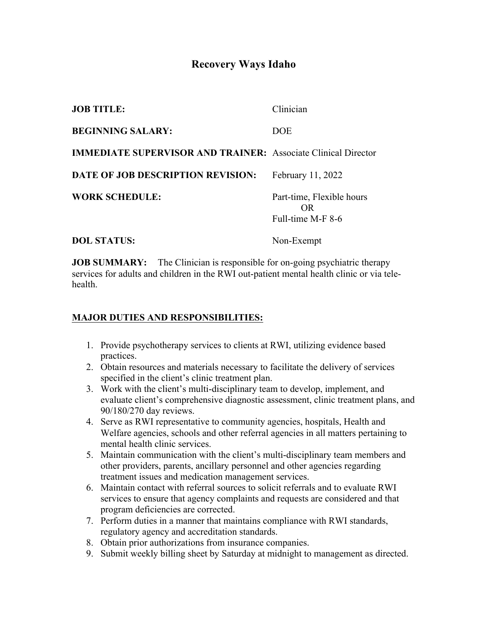# **Recovery Ways Idaho**

| <b>JOB TITLE:</b>                                                    | Clinician                                            |
|----------------------------------------------------------------------|------------------------------------------------------|
| <b>BEGINNING SALARY:</b>                                             | <b>DOE</b>                                           |
| <b>IMMEDIATE SUPERVISOR AND TRAINER: Associate Clinical Director</b> |                                                      |
| <b>DATE OF JOB DESCRIPTION REVISION:</b>                             | February 11, 2022                                    |
| <b>WORK SCHEDULE:</b>                                                | Part-time, Flexible hours<br>OR<br>Full-time M-F 8-6 |
| <b>DOL STATUS:</b>                                                   | Non-Exempt                                           |

**JOB SUMMARY:** The Clinician is responsible for on-going psychiatric therapy services for adults and children in the RWI out-patient mental health clinic or via telehealth.

#### **MAJOR DUTIES AND RESPONSIBILITIES:**

- 1. Provide psychotherapy services to clients at RWI, utilizing evidence based practices.
- 2. Obtain resources and materials necessary to facilitate the delivery of services specified in the client's clinic treatment plan.
- 3. Work with the client's multi-disciplinary team to develop, implement, and evaluate client's comprehensive diagnostic assessment, clinic treatment plans, and 90/180/270 day reviews.
- 4. Serve as RWI representative to community agencies, hospitals, Health and Welfare agencies, schools and other referral agencies in all matters pertaining to mental health clinic services.
- 5. Maintain communication with the client's multi-disciplinary team members and other providers, parents, ancillary personnel and other agencies regarding treatment issues and medication management services.
- 6. Maintain contact with referral sources to solicit referrals and to evaluate RWI services to ensure that agency complaints and requests are considered and that program deficiencies are corrected.
- 7. Perform duties in a manner that maintains compliance with RWI standards, regulatory agency and accreditation standards.
- 8. Obtain prior authorizations from insurance companies.
- 9. Submit weekly billing sheet by Saturday at midnight to management as directed.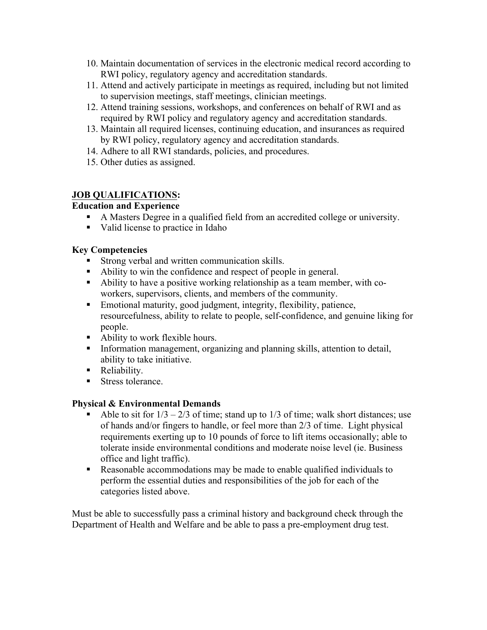- 10. Maintain documentation of services in the electronic medical record according to RWI policy, regulatory agency and accreditation standards.
- 11. Attend and actively participate in meetings as required, including but not limited to supervision meetings, staff meetings, clinician meetings.
- 12. Attend training sessions, workshops, and conferences on behalf of RWI and as required by RWI policy and regulatory agency and accreditation standards.
- 13. Maintain all required licenses, continuing education, and insurances as required by RWI policy, regulatory agency and accreditation standards.
- 14. Adhere to all RWI standards, policies, and procedures.
- 15. Other duties as assigned.

# **JOB QUALIFICATIONS:**

## **Education and Experience**

- § A Masters Degree in a qualified field from an accredited college or university.
- Valid license to practice in Idaho

## **Key Competencies**

- Strong verbal and written communication skills.
- § Ability to win the confidence and respect of people in general.
- § Ability to have a positive working relationship as a team member, with coworkers, supervisors, clients, and members of the community.
- Emotional maturity, good judgment, integrity, flexibility, patience, resourcefulness, ability to relate to people, self-confidence, and genuine liking for people.
- Ability to work flexible hours.
- Information management, organizing and planning skills, attention to detail, ability to take initiative.
- Reliability.
- Stress tolerance.

#### **Physical & Environmental Demands**

- Able to sit for  $1/3 2/3$  of time; stand up to  $1/3$  of time; walk short distances; use of hands and/or fingers to handle, or feel more than 2/3 of time. Light physical requirements exerting up to 10 pounds of force to lift items occasionally; able to tolerate inside environmental conditions and moderate noise level (ie. Business office and light traffic).
- Reasonable accommodations may be made to enable qualified individuals to perform the essential duties and responsibilities of the job for each of the categories listed above.

Must be able to successfully pass a criminal history and background check through the Department of Health and Welfare and be able to pass a pre-employment drug test.